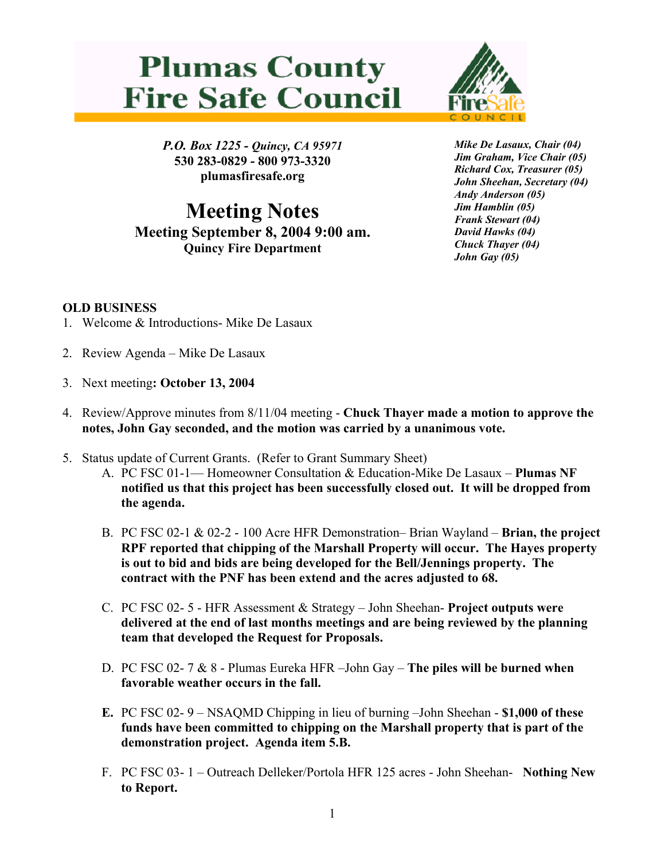## **Plumas County Fire Safe Council**



*P.O. Box 1225 - Quincy, CA 95971*  **530 283-0829 - 800 973-3320 plumasfiresafe.org** 

**Meeting Notes Meeting September 8, 2004 9:00 am. Quincy Fire Department**

*Mike De Lasaux, Chair (04) Jim Graham, Vice Chair (05) Richard Cox, Treasurer (05) John Sheehan, Secretary (04) Andy Anderson (05) Jim Hamblin (05) Frank Stewart (04) David Hawks (04) Chuck Thayer (04) John Gay (05)*

## **OLD BUSINESS**

- 1. Welcome & Introductions- Mike De Lasaux
- 2. Review Agenda Mike De Lasaux
- 3. Next meeting**: October 13, 2004**
- 4. Review/Approve minutes from 8/11/04 meeting **Chuck Thayer made a motion to approve the notes, John Gay seconded, and the motion was carried by a unanimous vote.**
- 5. Status update of Current Grants. (Refer to Grant Summary Sheet)
	- A. PC FSC 01-1— Homeowner Consultation & Education-Mike De Lasaux **Plumas NF notified us that this project has been successfully closed out. It will be dropped from the agenda.**
	- B. PC FSC 02-1 & 02-2 100 Acre HFR Demonstration– Brian Wayland **Brian, the project RPF reported that chipping of the Marshall Property will occur. The Hayes property is out to bid and bids are being developed for the Bell/Jennings property. The contract with the PNF has been extend and the acres adjusted to 68.**
	- C. PC FSC 02- 5 HFR Assessment & Strategy John Sheehan- **Project outputs were delivered at the end of last months meetings and are being reviewed by the planning team that developed the Request for Proposals.**
	- D. PC FSC 02- 7 & 8 Plumas Eureka HFR –John Gay **The piles will be burned when favorable weather occurs in the fall.**
	- **E.** PC FSC 02- 9 NSAQMD Chipping in lieu of burning –John Sheehan **\$1,000 of these funds have been committed to chipping on the Marshall property that is part of the demonstration project. Agenda item 5.B.**
	- F. PC FSC 03- 1 Outreach Delleker/Portola HFR 125 acres John Sheehan- **Nothing New to Report.**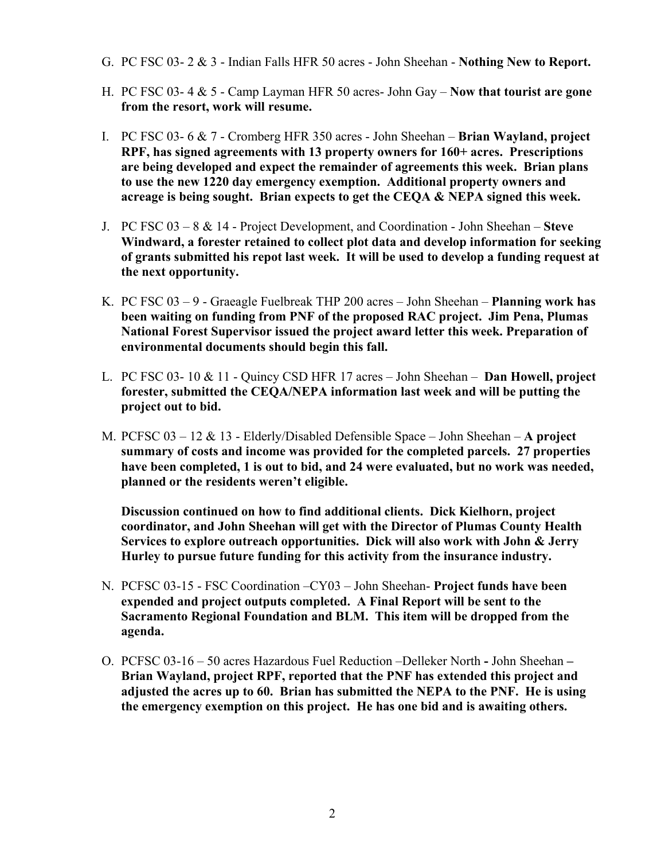- G. PC FSC 03- 2 & 3 Indian Falls HFR 50 acres John Sheehan **Nothing New to Report.**
- H. PC FSC 03- 4 & 5 Camp Layman HFR 50 acres- John Gay **Now that tourist are gone from the resort, work will resume.**
- I. PC FSC 03- 6 & 7 Cromberg HFR 350 acres John Sheehan **Brian Wayland, project RPF, has signed agreements with 13 property owners for 160+ acres. Prescriptions are being developed and expect the remainder of agreements this week. Brian plans to use the new 1220 day emergency exemption. Additional property owners and acreage is being sought. Brian expects to get the CEQA & NEPA signed this week.**
- J. PC FSC 03 8 & 14 Project Development, and Coordination John Sheehan – **Steve Windward, a forester retained to collect plot data and develop information for seeking of grants submitted his repot last week. It will be used to develop a funding request at the next opportunity.**
- K. PC FSC 03 9 Graeagle Fuelbreak THP 200 acres John Sheehan **Planning work has been waiting on funding from PNF of the proposed RAC project. Jim Pena, Plumas National Forest Supervisor issued the project award letter this week. Preparation of environmental documents should begin this fall.**
- L. PC FSC 03- 10 & 11 Quincy CSD HFR 17 acres John Sheehan – **Dan Howell, project forester, submitted the CEQA/NEPA information last week and will be putting the project out to bid.**
- M. PCFSC 03 12 & 13 Elderly/Disabled Defensible Space John Sheehan **A project summary of costs and income was provided for the completed parcels. 27 properties have been completed, 1 is out to bid, and 24 were evaluated, but no work was needed, planned or the residents weren't eligible.**

**Discussion continued on how to find additional clients. Dick Kielhorn, project coordinator, and John Sheehan will get with the Director of Plumas County Health Services to explore outreach opportunities. Dick will also work with John & Jerry Hurley to pursue future funding for this activity from the insurance industry.**

- N. PCFSC 03-15 FSC Coordination –CY03 John Sheehan- **Project funds have been expended and project outputs completed. A Final Report will be sent to the Sacramento Regional Foundation and BLM. This item will be dropped from the agenda.**
- O. PCFSC 03-16 50 acres Hazardous Fuel Reduction –Delleker North **-** John Sheehan **Brian Wayland, project RPF, reported that the PNF has extended this project and adjusted the acres up to 60. Brian has submitted the NEPA to the PNF. He is using the emergency exemption on this project. He has one bid and is awaiting others.**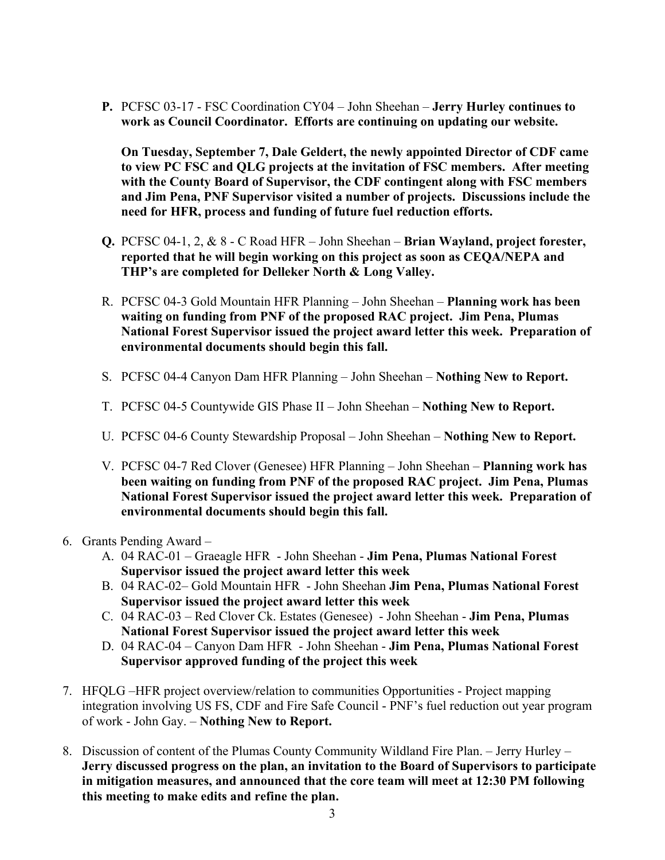**P.** PCFSC 03-17 - FSC Coordination CY04 – John Sheehan – **Jerry Hurley continues to work as Council Coordinator. Efforts are continuing on updating our website.** 

**On Tuesday, September 7, Dale Geldert, the newly appointed Director of CDF came to view PC FSC and QLG projects at the invitation of FSC members. After meeting with the County Board of Supervisor, the CDF contingent along with FSC members and Jim Pena, PNF Supervisor visited a number of projects. Discussions include the need for HFR, process and funding of future fuel reduction efforts.** 

- **Q.** PCFSC 04-1, 2, & 8 C Road HFR John Sheehan **Brian Wayland, project forester, reported that he will begin working on this project as soon as CEQA/NEPA and THP's are completed for Delleker North & Long Valley.**
- R. PCFSC 04-3 Gold Mountain HFR Planning John Sheehan – **Planning work has been waiting on funding from PNF of the proposed RAC project. Jim Pena, Plumas National Forest Supervisor issued the project award letter this week. Preparation of environmental documents should begin this fall.**
- S. PCFSC 04-4 Canyon Dam HFR Planning John Sheehan **Nothing New to Report.**
- T. PCFSC 04-5 Countywide GIS Phase II John Sheehan **Nothing New to Report.**
- U. PCFSC 04-6 County Stewardship Proposal John Sheehan **Nothing New to Report.**
- V. PCFSC 04-7 Red Clover (Genesee) HFR Planning John Sheehan **Planning work has been waiting on funding from PNF of the proposed RAC project. Jim Pena, Plumas National Forest Supervisor issued the project award letter this week. Preparation of environmental documents should begin this fall.**
- 6. Grants Pending Award
	- A. 04 RAC-01 Graeagle HFR John Sheehan **Jim Pena, Plumas National Forest Supervisor issued the project award letter this week**
	- B. 04 RAC-02– Gold Mountain HFR John Sheehan **Jim Pena, Plumas National Forest Supervisor issued the project award letter this week**
	- C. 04 RAC-03 Red Clover Ck. Estates (Genesee) John Sheehan **Jim Pena, Plumas National Forest Supervisor issued the project award letter this week**
	- D. 04 RAC-04 Canyon Dam HFR John Sheehan **Jim Pena, Plumas National Forest Supervisor approved funding of the project this week**
- 7. HFQLG –HFR project overview/relation to communities Opportunities Project mapping integration involving US FS, CDF and Fire Safe Council - PNF's fuel reduction out year program of work - John Gay. – **Nothing New to Report.**
- 8. Discussion of content of the Plumas County Community Wildland Fire Plan. Jerry Hurley **Jerry discussed progress on the plan, an invitation to the Board of Supervisors to participate in mitigation measures, and announced that the core team will meet at 12:30 PM following this meeting to make edits and refine the plan.**